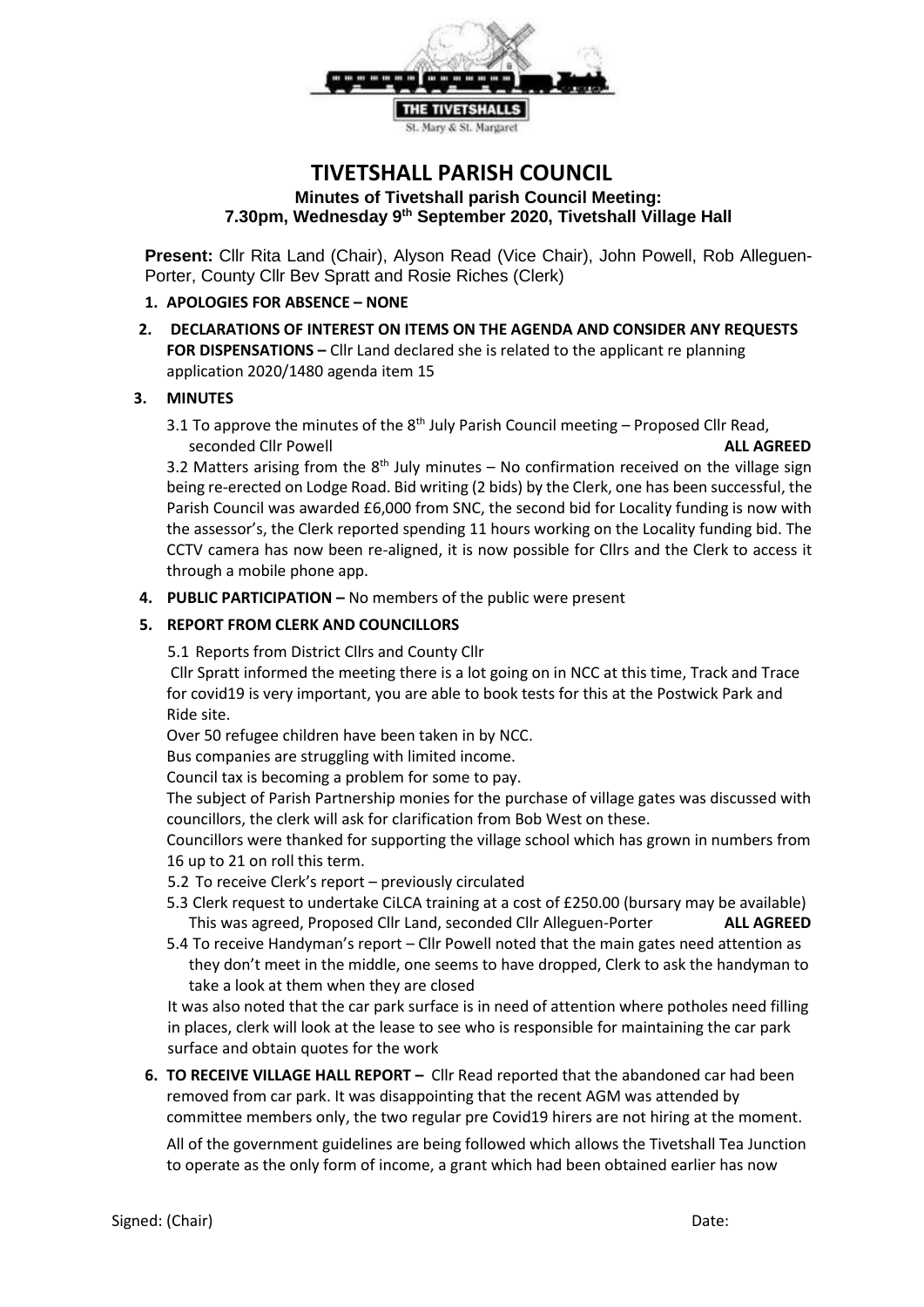

# **TIVETSHALL PARISH COUNCIL Minutes of Tivetshall parish Council Meeting: 7.30pm, Wednesday 9th September 2020, Tivetshall Village Hall**

**Present:** Cllr Rita Land (Chair), Alyson Read (Vice Chair), John Powell, Rob Alleguen-Porter, County Cllr Bev Spratt and Rosie Riches (Clerk)

#### **1. APOLOGIES FOR ABSENCE – NONE**

**2. DECLARATIONS OF INTEREST ON ITEMS ON THE AGENDA AND CONSIDER ANY REQUESTS FOR DISPENSATIONS –** Cllr Land declared she is related to the applicant re planning application 2020/1480 agenda item 15

#### **3. MINUTES**

3.1 To approve the minutes of the  $8<sup>th</sup>$  July Parish Council meeting – Proposed Cllr Read, seconded Cllr Powell **ALL AGREED**

3.2 Matters arising from the  $8<sup>th</sup>$  July minutes – No confirmation received on the village sign being re-erected on Lodge Road. Bid writing (2 bids) by the Clerk, one has been successful, the Parish Council was awarded £6,000 from SNC, the second bid for Locality funding is now with the assessor's, the Clerk reported spending 11 hours working on the Locality funding bid. The CCTV camera has now been re-aligned, it is now possible for Cllrs and the Clerk to access it through a mobile phone app.

**4. PUBLIC PARTICIPATION –** No members of the public were present

## **5. REPORT FROM CLERK AND COUNCILLORS**

5.1 Reports from District Cllrs and County Cllr

Cllr Spratt informed the meeting there is a lot going on in NCC at this time, Track and Trace for covid19 is very important, you are able to book tests for this at the Postwick Park and Ride site.

Over 50 refugee children have been taken in by NCC.

Bus companies are struggling with limited income.

Council tax is becoming a problem for some to pay.

The subject of Parish Partnership monies for the purchase of village gates was discussed with councillors, the clerk will ask for clarification from Bob West on these.

Councillors were thanked for supporting the village school which has grown in numbers from 16 up to 21 on roll this term.

- 5.2 To receive Clerk's report previously circulated
- 5.3 Clerk request to undertake CiLCA training at a cost of £250.00 (bursary may be available) This was agreed, Proposed Cllr Land, seconded Cllr Alleguen-Porter **ALL AGREED**
- 5.4 To receive Handyman's report Cllr Powell noted that the main gates need attention as they don't meet in the middle, one seems to have dropped, Clerk to ask the handyman to take a look at them when they are closed

It was also noted that the car park surface is in need of attention where potholes need filling in places, clerk will look at the lease to see who is responsible for maintaining the car park surface and obtain quotes for the work

**6. TO RECEIVE VILLAGE HALL REPORT -** Cllr Read reported that the abandoned car had been removed from car park. It was disappointing that the recent AGM was attended by committee members only, the two regular pre Covid19 hirers are not hiring at the moment.

All of the government guidelines are being followed which allows the Tivetshall Tea Junction to operate as the only form of income, a grant which had been obtained earlier has now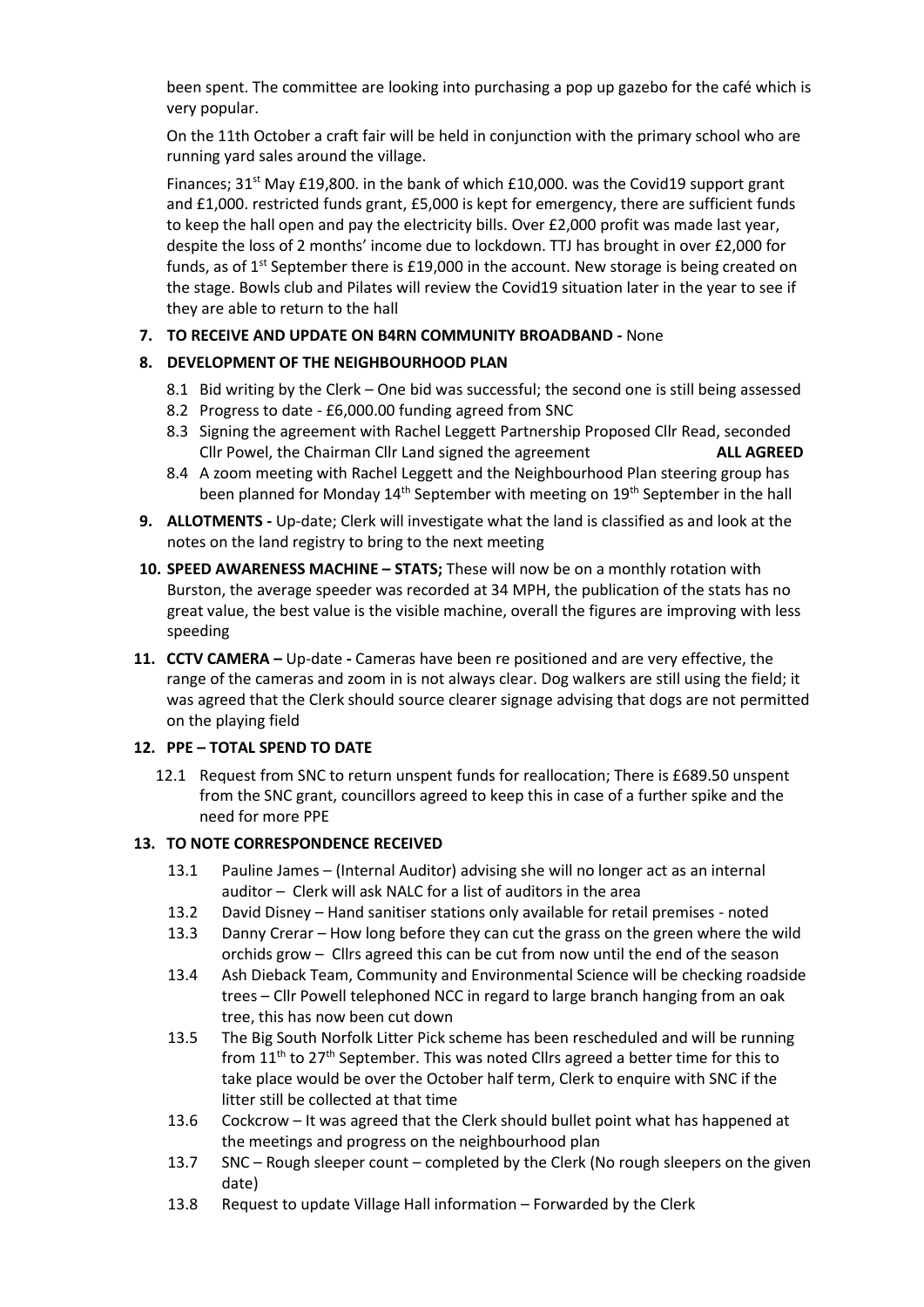been spent. The committee are looking into purchasing a pop up gazebo for the café which is very popular.

On the 11th October a craft fair will be held in conjunction with the primary school who are running yard sales around the village.

Finances;  $31^{st}$  May £19,800. in the bank of which £10,000. was the Covid19 support grant and £1,000. restricted funds grant, £5,000 is kept for emergency, there are sufficient funds to keep the hall open and pay the electricity bills. Over £2,000 profit was made last year, despite the loss of 2 months' income due to lockdown. TTJ has brought in over £2,000 for funds, as of  $1^{st}$  September there is £19,000 in the account. New storage is being created on the stage. Bowls club and Pilates will review the Covid19 situation later in the year to see if they are able to return to the hall

## **7. TO RECEIVE AND UPDATE ON B4RN COMMUNITY BROADBAND -** None

### **8. DEVELOPMENT OF THE NEIGHBOURHOOD PLAN**

- 8.1 Bid writing by the Clerk One bid was successful; the second one is still being assessed
- 8.2 Progress to date £6,000.00 funding agreed from SNC
- 8.3 Signing the agreement with Rachel Leggett Partnership Proposed Cllr Read, seconded Cllr Powel, the Chairman Cllr Land signed the agreement **ALL AGREED**
- 8.4 A zoom meeting with Rachel Leggett and the Neighbourhood Plan steering group has been planned for Monday  $14<sup>th</sup>$  September with meeting on  $19<sup>th</sup>$  September in the hall
- **9. ALLOTMENTS -** Up-date; Clerk will investigate what the land is classified as and look at the notes on the land registry to bring to the next meeting
- **10. SPEED AWARENESS MACHINE – STATS;** These will now be on a monthly rotation with Burston, the average speeder was recorded at 34 MPH, the publication of the stats has no great value, the best value is the visible machine, overall the figures are improving with less speeding
- **11. CCTV CAMERA –** Up-date **-** Cameras have been re positioned and are very effective, the range of the cameras and zoom in is not always clear. Dog walkers are still using the field; it was agreed that the Clerk should source clearer signage advising that dogs are not permitted on the playing field

#### **12. PPE – TOTAL SPEND TO DATE**

12.1 Request from SNC to return unspent funds for reallocation; There is £689.50 unspent from the SNC grant, councillors agreed to keep this in case of a further spike and the need for more PPE

#### **13. TO NOTE CORRESPONDENCE RECEIVED**

- 13.1 Pauline James (Internal Auditor) advising she will no longer act as an internal auditor – Clerk will ask NALC for a list of auditors in the area
- 13.2 David Disney Hand sanitiser stations only available for retail premises noted
- 13.3 Danny Crerar How long before they can cut the grass on the green where the wild orchids grow – Cllrs agreed this can be cut from now until the end of the season
- 13.4 Ash Dieback Team, Community and Environmental Science will be checking roadside trees – Cllr Powell telephoned NCC in regard to large branch hanging from an oak tree, this has now been cut down
- 13.5 The Big South Norfolk Litter Pick scheme has been rescheduled and will be running from 11<sup>th</sup> to 27<sup>th</sup> September. This was noted Cllrs agreed a better time for this to take place would be over the October half term, Clerk to enquire with SNC if the litter still be collected at that time
- 13.6 Cockcrow It was agreed that the Clerk should bullet point what has happened at the meetings and progress on the neighbourhood plan
- 13.7 SNC Rough sleeper count completed by the Clerk (No rough sleepers on the given date)
- 13.8 Request to update Village Hall information Forwarded by the Clerk